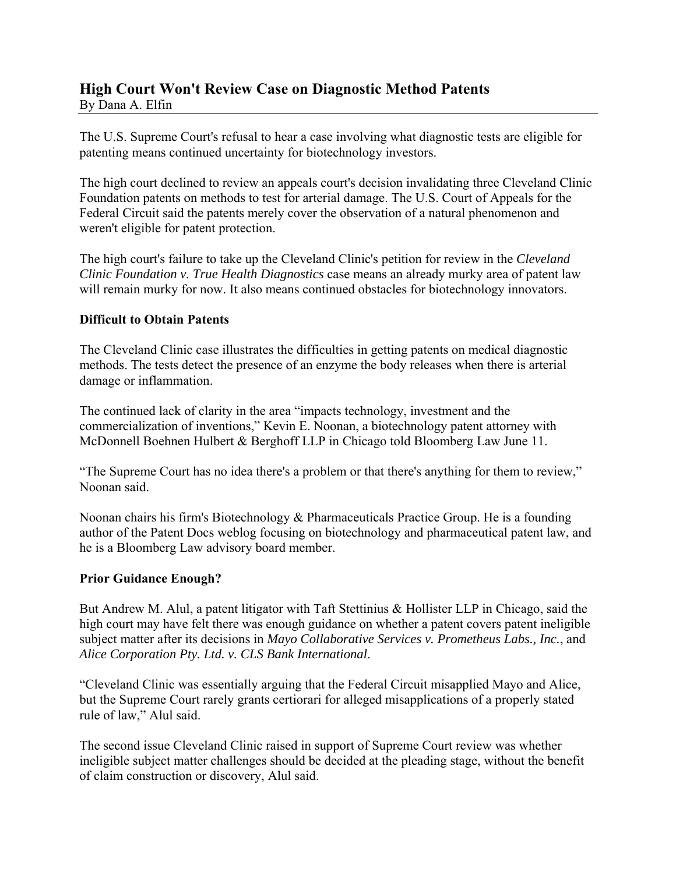## **High Court Won't Review Case on Diagnostic Method Patents** By Dana A. Elfin

The U.S. Supreme Court's refusal to hear a case involving what diagnostic tests are eligible for patenting means continued uncertainty for biotechnology investors.

The high court declined to review an appeals court's decision invalidating three Cleveland Clinic Foundation patents on methods to test for arterial damage. The U.S. Court of Appeals for the Federal Circuit said the patents merely cover the observation of a natural phenomenon and weren't eligible for patent protection.

The high court's failure to take up the Cleveland Clinic's petition for review in the *Cleveland Clinic Foundation v. True Health Diagnostics* case means an already murky area of patent law will remain murky for now. It also means continued obstacles for biotechnology innovators.

## **Difficult to Obtain Patents**

The Cleveland Clinic case illustrates the difficulties in getting patents on medical diagnostic methods. The tests detect the presence of an enzyme the body releases when there is arterial damage or inflammation.

The continued lack of clarity in the area "impacts technology, investment and the commercialization of inventions," Kevin E. Noonan, a biotechnology patent attorney with McDonnell Boehnen Hulbert & Berghoff LLP in Chicago told Bloomberg Law June 11.

"The Supreme Court has no idea there's a problem or that there's anything for them to review," Noonan said.

Noonan chairs his firm's Biotechnology & Pharmaceuticals Practice Group. He is a founding author of the Patent Docs weblog focusing on biotechnology and pharmaceutical patent law, and he is a Bloomberg Law advisory board member.

## **Prior Guidance Enough?**

But Andrew M. Alul, a patent litigator with Taft Stettinius & Hollister LLP in Chicago, said the high court may have felt there was enough guidance on whether a patent covers patent ineligible subject matter after its decisions in *Mayo Collaborative Services v. Prometheus Labs., Inc.*, and *Alice Corporation Pty. Ltd. v. CLS Bank International*.

"Cleveland Clinic was essentially arguing that the Federal Circuit misapplied Mayo and Alice, but the Supreme Court rarely grants certiorari for alleged misapplications of a properly stated rule of law," Alul said.

The second issue Cleveland Clinic raised in support of Supreme Court review was whether ineligible subject matter challenges should be decided at the pleading stage, without the benefit of claim construction or discovery, Alul said.